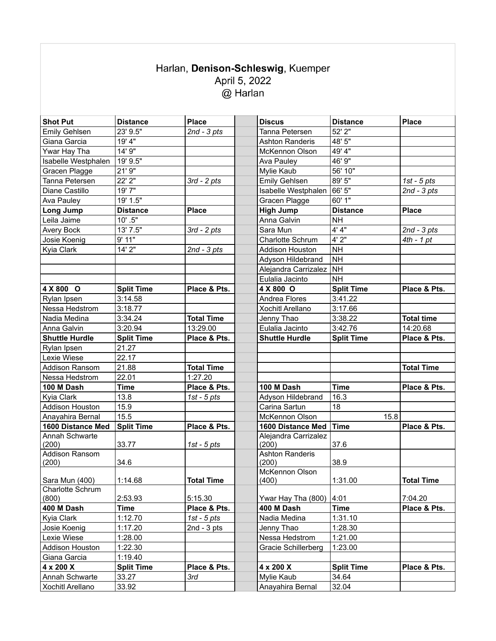## Harlan, Denison-Schleswig, Kuemper<br>April 5, 2022  $\overset{\cdot}{\textcircled{a}}$  Harlan

| <b>Shot Put</b>         | <b>Distance</b>   | <b>Place</b>      | <b>Discus</b>                 | <b>Distance</b>   | <b>Place</b>      |
|-------------------------|-------------------|-------------------|-------------------------------|-------------------|-------------------|
| <b>Emily Gehlsen</b>    | 23' 9.5"          | $2nd - 3pts$      | Tanna Petersen                | 52' 2"            |                   |
| Giana Garcia            | 19' 4"            |                   | <b>Ashton Randeris</b>        | 48' 5"            |                   |
| Ywar Hay Tha            | 14' 9"            |                   | McKennon Olson                | 49' 4"            |                   |
| Isabelle Westphalen     | 19' 9.5"          |                   | Ava Pauley                    | 46' 9"            |                   |
| Gracen Plagge           | 21' 9"            |                   | Mylie Kaub                    | 56' 10"           |                   |
| Tanna Petersen          | 22' 2"            | $3rd - 2pts$      | <b>Emily Gehlsen</b>          | 89' 5"            | $1st - 5pts$      |
| Diane Castillo          | 19'7"             |                   | Isabelle Westphalen           | 66' 5"            | $2nd - 3pts$      |
| Ava Pauley              | 19' 1.5"          |                   | Gracen Plagge                 | 60' 1"            |                   |
| Long Jump               | <b>Distance</b>   | <b>Place</b>      | <b>High Jump</b>              | <b>Distance</b>   | <b>Place</b>      |
| Leila Jaime             | $10'$ .5"         |                   | Anna Galvin                   | <b>NH</b>         |                   |
| Avery Bock              | 13' 7.5"          | $3rd - 2pts$      | Sara Mun                      | 4' 4''            | $2nd - 3pts$      |
| Josie Koenig            | 9' 11"            |                   | Charlotte Schrum              | 4'2''             | $4th - 1 pt$      |
| Kyia Clark              | 14' 2"            | $2nd - 3pts$      | <b>Addison Houston</b>        | <b>NH</b>         |                   |
|                         |                   |                   | Adyson Hildebrand             | <b>NH</b>         |                   |
|                         |                   |                   | Alejandra Carrizalez          | NH                |                   |
|                         |                   |                   | Eulalia Jacinto               | <b>NH</b>         |                   |
| 4 X 800 O               | <b>Split Time</b> | Place & Pts.      | 4 X 800 O                     | <b>Split Time</b> | Place & Pts.      |
| Rylan Ipsen             | 3:14.58           |                   | Andrea Flores                 | 3:41.22           |                   |
| Nessa Hedstrom          | 3:18.77           |                   | Xochitl Arellano              | 3:17.66           |                   |
| Nadia Medina            | 3:34.24           | <b>Total Time</b> | Jenny Thao                    | 3:38.22           | <b>Total time</b> |
| Anna Galvin             | 3:20.94           | 13:29.00          | Eulalia Jacinto               | 3:42.76           | 14:20.68          |
| <b>Shuttle Hurdle</b>   | <b>Split Time</b> | Place & Pts.      | <b>Shuttle Hurdle</b>         | <b>Split Time</b> | Place & Pts.      |
| Rylan Ipsen             | 21.27             |                   |                               |                   |                   |
| Lexie Wiese             | 22.17             |                   |                               |                   |                   |
| <b>Addison Ransom</b>   | 21.88             | <b>Total Time</b> |                               |                   | <b>Total Time</b> |
| Nessa Hedstrom          | 22.01             | 1:27.20           |                               |                   |                   |
| 100 M Dash              | <b>Time</b>       | Place & Pts.      | 100 M Dash                    | <b>Time</b>       | Place & Pts.      |
| Kyia Clark              | 13.8              | 1st - $5$ pts     | Adyson Hildebrand             | 16.3              |                   |
| Addison Houston         | 15.9              |                   | Carina Sartun                 | 18                |                   |
| Anayahira Bernal        | 15.5              |                   | McKennon Olson                | 15.8              |                   |
| 1600 Distance Med       | <b>Split Time</b> | Place & Pts.      | 1600 Distance Med             | <b>Time</b>       | Place & Pts.      |
| Annah Schwarte<br>(200) | 33.77             | 1st - $5$ pts     | Alejandra Carrizalez<br>(200) | 37.6              |                   |
| Addison Ransom          |                   |                   | <b>Ashton Randeris</b>        |                   |                   |
| (200)                   | 34.6              |                   | (200)                         | 38.9              |                   |
|                         |                   |                   | McKennon Olson                |                   |                   |
| Sara Mun (400)          | 1:14.68           | Total Time        | (400)                         | 1:31.00           | Total Time        |
| <b>Charlotte Schrum</b> |                   |                   |                               |                   |                   |
| (800)                   | 2:53.93           | 5:15.30           | Ywar Hay Tha (800)            | 4:01              | 7:04.20           |
| 400 M Dash              | <b>Time</b>       | Place & Pts.      | 400 M Dash                    | <b>Time</b>       | Place & Pts.      |
| Kyia Clark              | 1:12.70           | 1st - $5$ pts     | Nadia Medina                  | 1:31.10           |                   |
| Josie Koenig            | 1:17.20           | 2nd - $3$ pts     | Jenny Thao                    | 1:28.30           |                   |
| Lexie Wiese             | 1:28.00           |                   | Nessa Hedstrom                | 1:21.00           |                   |
| Addison Houston         | 1:22.30           |                   | Gracie Schillerberg           | 1:23.00           |                   |
| Giana Garcia            | 1:19.40           |                   |                               |                   |                   |
| 4 x 200 X               | <b>Split Time</b> | Place & Pts.      | 4 x 200 X                     | <b>Split Time</b> | Place & Pts.      |
| Annah Schwarte          | 33.27             | 3rd               | Mylie Kaub                    | 34.64             |                   |
| Xochitl Arellano        | 33.92             |                   | Anayahira Bernal              | 32.04             |                   |